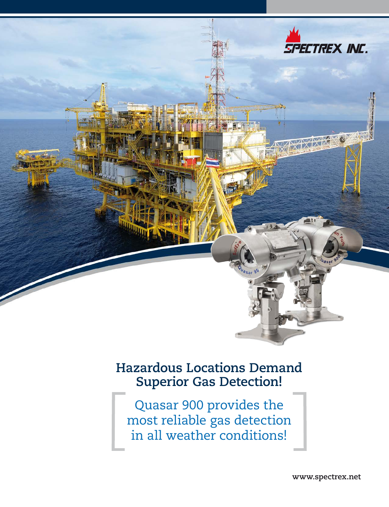

### **Hazardous Locations Demand Superior Gas Detection!**

Quasar 900 provides the most reliable gas detection in all weather conditions!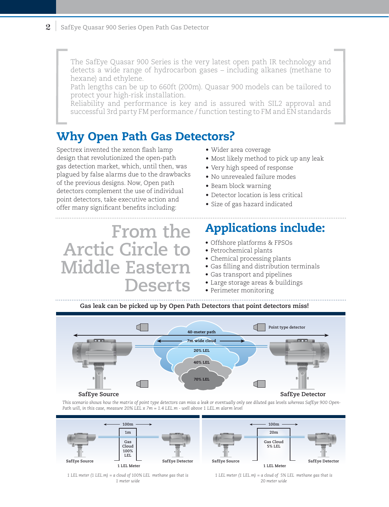The SafEye Quasar 900 Series is the very latest open path IR technology and detects a wide range of hydrocarbon gases – including alkanes (methane to hexane) and ethylene.

Path lengths can be up to 660ft (200m). Quasar 900 models can be tailored to protect your high-risk installation.

Reliability and performance is key and is assured with SIL2 approval and successful 3rd party FM performance / function testing to FM and EN standards

### Why Open Path Gas Detectors?

Spectrex invented the xenon flash lamp design that revolutionized the open-path gas detection market, which, until then, was plagued by false alarms due to the drawbacks of the previous designs. Now, Open path detectors complement the use of individual point detectors, take executive action and offer many significant benefits including:

**From the Arctic Circle to Middle Eastern Deserts**

- Wider area coverage
- Most likely method to pick up any leak
- Very high speed of response
- No unrevealed failure modes
- Beam block warning
- Detector location is less critical
- Size of gas hazard indicated

## Applications include:

- Offshore platforms & FPSOs
- Petrochemical plants
- Chemical processing plants
- Gas filling and distribution terminals
- Gas transport and pipelines
- Large storage areas & buildings
- Perimeter monitoring

**Gas leak can be picked up by Open Path Detectors that point detectors miss!**



*This scenario shows how the matrix of point type detectors can miss a leak or eventually only see diluted gas levels whereas SafEye 900 Open-Path will, in this case, measure 20% LEL x 7m = 1.4 LEL.m - well above 1 LEL.m alarm level*



*1 LEL meter (1 LEL.m) = a cloud of 100% LEL methane gas that is 1 meter wide*

*1 LEL meter (1 LEL.m) = a cloud of 5% LEL methane gas that is 20 meter wide*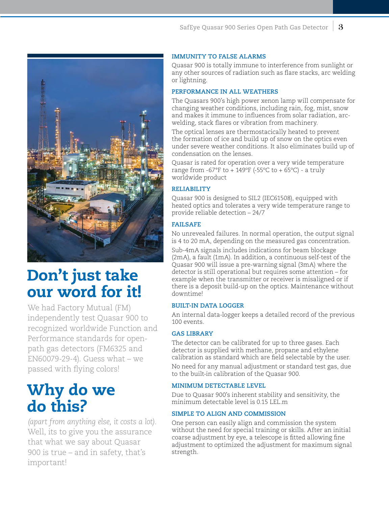

# Don't just take our word for it!

We had Factory Mutual (FM) independently test Quasar 900 to recognized worldwide Function and Performance standards for openpath gas detectors (FM6325 and EN60079-29-4). Guess what – we passed with flying colors!

# Why do we do this?

*(apart from anything else, it costs a lot).* Well, its to give you the assurance that what we say about Quasar 900 is true – and in safety, that's important!

#### **IMMUNITY TO FALSE ALARMS**

Quasar 900 is totally immune to interference from sunlight or any other sources of radiation such as flare stacks, arc welding or lightning.

#### **PERFORMANCE IN ALL WEATHERS**

The Quasars 900's high power xenon lamp will compensate for changing weather conditions, including rain, fog, mist, snow and makes it immune to influences from solar radiation, arcwelding, stack flares or vibration from machinery.

The optical lenses are thermostacically heated to prevent the formation of ice and build up of snow on the optics even under severe weather conditions. It also eliminates build up of condensation on the lenses.

Quasar is rated for operation over a very wide temperature range from -67°F to  $+$  149°F (-55°C to + 65°C) - a truly worldwide product

#### **RELIABILITY**

Quasar 900 is designed to SIL2 (IEC61508), equipped with heated optics and tolerates a very wide temperature range to provide reliable detection – 24/7

#### **FAILSAFE**

No unrevealed failures. In normal operation, the output signal is 4 to 20 mA, depending on the measured gas concentration.

Sub-4mA signals includes indications for beam blockage (2mA), a fault (1mA). In addition, a continuous self-test of the Quasar 900 will issue a pre-warning signal (3mA) where the detector is still operational but requires some attention – for example when the transmitter or receiver is misaligned or if there is a deposit build-up on the optics. Maintenance without downtime!

### **BUILT-IN DATA LOGGER**

An internal data-logger keeps a detailed record of the previous 100 events.

#### **GAS LIBRARY**

The detector can be calibrated for up to three gases. Each detector is supplied with methane, propane and ethylene calibration as standard which are field selectable by the user.

No need for any manual adjustment or standard test gas, due to the built-in calibration of the Quasar 900.

#### **Minimum Detectable Level**

Due to Quasar 900's inherent stability and sensitivity, the minimum detectable level is 0.15 LEL.m

#### **SIMPLE TO ALIGN AND COMMISSION**

One person can easily align and commission the system without the need for special training or skills. After an initial coarse adjustment by eye, a telescope is fitted allowing fine adjustment to optimized the adjustment for maximum signal strength.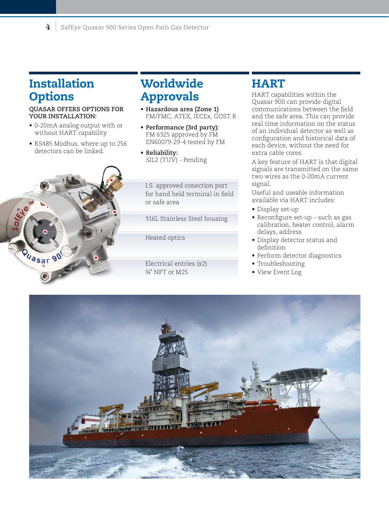### Installation **Options**

#### **Quasar offers options for your installation:**

- 0-20mA analog output with or without HART capability
- RS485 Modbus, where up to 256 detectors can be linked.



### **Worldwide** Approvals

- **• Hazardous area (Zone 1)** FM/FMC, ATEX, IECEx, GOST R
- **• Performance (3rd party):** FM 6325 approved by FM EN60079-29-4 tested by FM
- **• Reliability:** SIL2 (TUV) - Pending

I.S. approved conection port for hand held terminal in field or safe area

316L Stainless Steel housing

Heated optics

Electrical entries (x2) ¾" NPT or M25

### **HART**

HART capabilities within the Quasar 900 can provide digital communications between the field and the safe area. This can provide real time information on the status of an individual detector as well as configuration and historical data of each device, without the need for extra cable cores.

A key feature of HART is that digital signals are transmitted on the same two wires as the 0-20mA current signal.

Useful and useable information available via HART includes:

- Display set-up
- Reconfigure set-up such as gas calibration, heater control, alarm delays, address
- Display detector status and definition
- Perform detector diagnostics
- Troubleshooting
- View Event Log

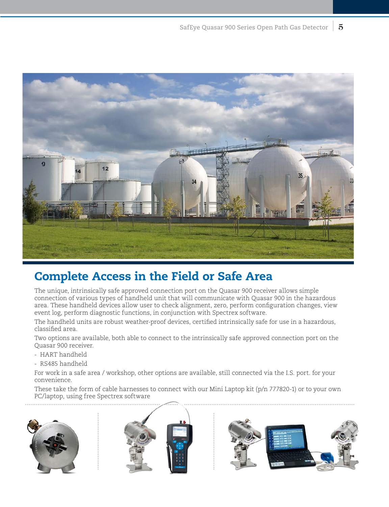

### Complete Access in the Field or Safe Area

The unique, intrinsically safe approved connection port on the Quasar 900 receiver allows simple connection of various types of handheld unit that will communicate with Quasar 900 in the hazardous area. These handheld devices allow user to check alignment, zero, perform configuration changes, view event log, perform diagnostic functions, in conjunction with Spectrex software.

The handheld units are robust weather-proof devices, certified intrinsically safe for use in a hazardous, classified area.

Two options are available, both able to connect to the intrinsically safe approved connection port on the Quasar 900 receiver.

- HART handheld
- RS485 handheld

For work in a safe area / workshop, other options are available, still connected via the I.S. port. for your convenience.

These take the form of cable harnesses to connect with our Mini Laptop kit (p/n 777820-1) or to your own PC/laptop, using free Spectrex software





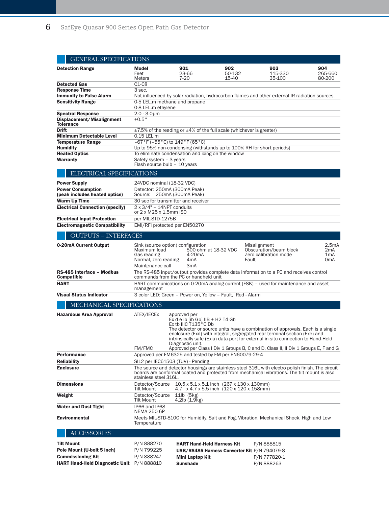|                                                           | <b>GENERAL SPECIFICATIONS</b>                                                                                                                                                                                                                                                                                                                                  |                                                                         |                                                                                                   |                                                                 |                                                                                |  |  |  |
|-----------------------------------------------------------|----------------------------------------------------------------------------------------------------------------------------------------------------------------------------------------------------------------------------------------------------------------------------------------------------------------------------------------------------------------|-------------------------------------------------------------------------|---------------------------------------------------------------------------------------------------|-----------------------------------------------------------------|--------------------------------------------------------------------------------|--|--|--|
| <b>Detection Range</b>                                    | Model<br>Feet<br><b>Meters</b>                                                                                                                                                                                                                                                                                                                                 | 901<br>23-66<br>7-20                                                    | 902<br>50-132<br>15-40                                                                            | 903<br>115-330<br>35-100                                        | 904<br>265-660<br>80-200                                                       |  |  |  |
| <b>Detected Gas</b>                                       | $C1-C8$                                                                                                                                                                                                                                                                                                                                                        |                                                                         |                                                                                                   |                                                                 |                                                                                |  |  |  |
| <b>Response Time</b>                                      | 3 sec.                                                                                                                                                                                                                                                                                                                                                         |                                                                         |                                                                                                   |                                                                 |                                                                                |  |  |  |
| <b>Immunity to False Alarm</b>                            | Not influenced by solar radiation, hydrocarbon flames and other external IR radiation sources.                                                                                                                                                                                                                                                                 |                                                                         |                                                                                                   |                                                                 |                                                                                |  |  |  |
| <b>Sensitivity Range</b>                                  | 0-5 LEL.m methane and propane                                                                                                                                                                                                                                                                                                                                  |                                                                         |                                                                                                   |                                                                 |                                                                                |  |  |  |
|                                                           | 0-8 LEL.m ethylene                                                                                                                                                                                                                                                                                                                                             |                                                                         |                                                                                                   |                                                                 |                                                                                |  |  |  |
| <b>Spectral Response</b>                                  | $2.0 - 3.0 \mu m$                                                                                                                                                                                                                                                                                                                                              |                                                                         |                                                                                                   |                                                                 |                                                                                |  |  |  |
| Displacement/Misalignment                                 | ±0.5°                                                                                                                                                                                                                                                                                                                                                          |                                                                         |                                                                                                   |                                                                 |                                                                                |  |  |  |
| <b>Tolerance</b><br><b>Drift</b>                          |                                                                                                                                                                                                                                                                                                                                                                |                                                                         |                                                                                                   |                                                                 |                                                                                |  |  |  |
| <b>Minimum Detectable Level</b>                           | $\pm$ 7.5% of the reading or $\pm$ 4% of the full scale (whichever is greater)<br>0.15 LEL.m                                                                                                                                                                                                                                                                   |                                                                         |                                                                                                   |                                                                 |                                                                                |  |  |  |
| <b>Temperature Range</b>                                  | $-67 °F (-55 °C)$ to $149 °F (65 °C)$                                                                                                                                                                                                                                                                                                                          |                                                                         |                                                                                                   |                                                                 |                                                                                |  |  |  |
| <b>Humidity</b>                                           | Up to 95% non-condensing (withstands up to 100% RH for short periods)                                                                                                                                                                                                                                                                                          |                                                                         |                                                                                                   |                                                                 |                                                                                |  |  |  |
| <b>Heated Optics</b>                                      | To eliminate condensation and icing on the window                                                                                                                                                                                                                                                                                                              |                                                                         |                                                                                                   |                                                                 |                                                                                |  |  |  |
| Warranty                                                  | Safety system - 3 years                                                                                                                                                                                                                                                                                                                                        |                                                                         |                                                                                                   |                                                                 |                                                                                |  |  |  |
|                                                           | Flash source bulb - 10 years                                                                                                                                                                                                                                                                                                                                   |                                                                         |                                                                                                   |                                                                 |                                                                                |  |  |  |
| ELECTRICAL SPECIFICATIONS                                 |                                                                                                                                                                                                                                                                                                                                                                |                                                                         |                                                                                                   |                                                                 |                                                                                |  |  |  |
| <b>Power Supply</b>                                       | 24VDC nominal (18-32 VDC)                                                                                                                                                                                                                                                                                                                                      |                                                                         |                                                                                                   |                                                                 |                                                                                |  |  |  |
| <b>Power Consumption</b><br>(peak includes heated optics) | Detector: 250mA (300mA Peak)<br>Source: 250mA (300mA Peak)                                                                                                                                                                                                                                                                                                     |                                                                         |                                                                                                   |                                                                 |                                                                                |  |  |  |
| <b>Warm Up Time</b>                                       |                                                                                                                                                                                                                                                                                                                                                                |                                                                         |                                                                                                   |                                                                 |                                                                                |  |  |  |
| <b>Electrical Connection (specify)</b>                    | 30 sec for transmitter and receiver<br>$2 \times 3/4" - 14$ NPT conduits                                                                                                                                                                                                                                                                                       |                                                                         |                                                                                                   |                                                                 |                                                                                |  |  |  |
|                                                           | or 2 x M25 x 1.5mm ISO                                                                                                                                                                                                                                                                                                                                         |                                                                         |                                                                                                   |                                                                 |                                                                                |  |  |  |
| <b>Electrical Input Protection</b>                        | per MIL-STD-1275B                                                                                                                                                                                                                                                                                                                                              |                                                                         |                                                                                                   |                                                                 |                                                                                |  |  |  |
| <b>Electromagnetic Compatibility</b>                      |                                                                                                                                                                                                                                                                                                                                                                | EMI/RFI protected per EN50270                                           |                                                                                                   |                                                                 |                                                                                |  |  |  |
|                                                           |                                                                                                                                                                                                                                                                                                                                                                |                                                                         |                                                                                                   |                                                                 |                                                                                |  |  |  |
| <b>OUTPUTS - INTERFACES</b>                               |                                                                                                                                                                                                                                                                                                                                                                |                                                                         |                                                                                                   |                                                                 |                                                                                |  |  |  |
| 0-20mA Current Output                                     | Maximum load<br>Gas reading<br>Normal, zero reading<br>Maintenance call                                                                                                                                                                                                                                                                                        | Sink (source option) configuration<br>4-20mA<br>4mA<br>3 <sub>m</sub> A | 500 ohm at 18-32 VDC<br>Fault                                                                     | Misalignment<br>Obscuration/beam block<br>Zero calibration mode | 2.5 <sub>m</sub> A<br>2 <sub>m</sub> A<br>1 <sub>m</sub> A<br>0 <sub>m</sub> A |  |  |  |
| RS-485 Interface - Modbus<br><b>Compatible</b>            | The RS-485 input/output provides complete data information to a PC and receives control<br>commands from the PC or handheld unit                                                                                                                                                                                                                               |                                                                         |                                                                                                   |                                                                 |                                                                                |  |  |  |
| <b>HART</b>                                               | HART communications on 0-20mA analog current (FSK) - used for maintenance and asset<br>management                                                                                                                                                                                                                                                              |                                                                         |                                                                                                   |                                                                 |                                                                                |  |  |  |
| <b>Visual Status Indicator</b>                            | 3 color LED: Green - Power on, Yellow - Fault, Red - Alarm                                                                                                                                                                                                                                                                                                     |                                                                         |                                                                                                   |                                                                 |                                                                                |  |  |  |
| MECHANICAL SPECIFICATIONS                                 |                                                                                                                                                                                                                                                                                                                                                                |                                                                         |                                                                                                   |                                                                 |                                                                                |  |  |  |
| <b>Hazardous Area Approval</b>                            | ATEX/IECEx<br>approved per<br>Ex d e ib [ib Gb] $IB + H2$ T4 Gb<br>Ex tb IIIC T135°C Db<br>The detector or source units have a combination of approvals. Each is a single<br>enclosure (Exd) with integral, segregated rear terminal section (Exe) and<br>intrinsically safe (Exia) data-port for external in-situ connection to Hand-Held<br>Diagnostic unit. |                                                                         |                                                                                                   |                                                                 |                                                                                |  |  |  |
|                                                           | FM/FMC<br>Approved per Class I Div 1 Groups B, C and D, Class II, III Div 1 Groups E, F and G                                                                                                                                                                                                                                                                  |                                                                         |                                                                                                   |                                                                 |                                                                                |  |  |  |
| <b>Performance</b>                                        |                                                                                                                                                                                                                                                                                                                                                                |                                                                         | Approved per FM6325 and tested by FM per EN60079-29-4                                             |                                                                 |                                                                                |  |  |  |
| <b>Reliability</b>                                        | SIL2 per IEC61503 (TUV) - Pending                                                                                                                                                                                                                                                                                                                              |                                                                         |                                                                                                   |                                                                 |                                                                                |  |  |  |
| <b>Enclosure</b>                                          | The source and detector housings are stainless steel 316L with electro polish finish. The circuit<br>boards are conformal coated and protected from mechanical vibrations. The tilt mount is also<br>stainless steel 316L.                                                                                                                                     |                                                                         |                                                                                                   |                                                                 |                                                                                |  |  |  |
| <b>Dimensions</b>                                         | Detector/Source<br>Tilt Mount                                                                                                                                                                                                                                                                                                                                  |                                                                         | $10.5 \times 5.1 \times 5.1$ inch (267 x 130 x 130mm)<br>4.7 x 4.7 x 5.5 inch (120 x 120 x 158mm) |                                                                 |                                                                                |  |  |  |
| Weight                                                    | Detector/Source<br><b>Tilt Mount</b>                                                                                                                                                                                                                                                                                                                           | $11$ lb $(5kg)$<br>4.2lb (1.9kg)                                        |                                                                                                   |                                                                 |                                                                                |  |  |  |
| <b>Water and Dust Tight</b>                               | IP66 and IP68<br><b>NEMA 250 6P</b>                                                                                                                                                                                                                                                                                                                            |                                                                         |                                                                                                   |                                                                 |                                                                                |  |  |  |
| <b>Environmental</b>                                      | Meets MIL-STD-810C for Humidity, Salt and Fog, Vibration, Mechanical Shock, High and Low<br>Temperature                                                                                                                                                                                                                                                        |                                                                         |                                                                                                   |                                                                 |                                                                                |  |  |  |
| <b>ACCESSORIES</b>                                        |                                                                                                                                                                                                                                                                                                                                                                |                                                                         |                                                                                                   |                                                                 |                                                                                |  |  |  |
| <b>Tilt Mount</b>                                         | P/N 888270                                                                                                                                                                                                                                                                                                                                                     | <b>HART Hand-Held Harness Kit</b>                                       |                                                                                                   | P/N 888815                                                      |                                                                                |  |  |  |
| Pole Mount (U-bolt 5 inch)                                | P/N 799225                                                                                                                                                                                                                                                                                                                                                     |                                                                         | USB/RS485 Harness Converter Kit P/N 794079-8                                                      |                                                                 |                                                                                |  |  |  |
| <b>Commissioning Kit</b>                                  | P/N 888247                                                                                                                                                                                                                                                                                                                                                     | Mini Laptop Kit                                                         |                                                                                                   | P/N 777820-1                                                    |                                                                                |  |  |  |
| <b>HART Hand-Held Diagnostic Unit</b>                     | P/N 888810                                                                                                                                                                                                                                                                                                                                                     | <b>Sunshade</b>                                                         |                                                                                                   | P/N 888263                                                      |                                                                                |  |  |  |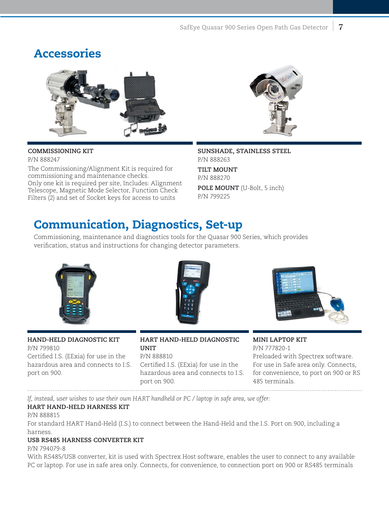### Accessories



### **Commissioning Kit**

P/N 888247

The Commissioning/Alignment Kit is required for commissioning and maintenance checks. Only one kit is required per site, Includes: Alignment Telescope, Magnetic Mode Selector, Function Check Filters (2) and set of Socket keys for access to units

**Sunshade, stainless steel** P/N 888263 **Tilt Mount** P/N 888270 **Pole Mount** (U-Bolt, 5 inch) P/N 799225

### Communication, Diagnostics, Set-up

Commissioning, maintenance and diagnostics tools for the Quasar 900 Series, which provides verification, status and instructions for changing detector parameters.



**Hand-Held Diagnostic Kit** P/N 799810 Certified I.S. (EExia) for use in the hazardous area and connects to I.S. port on 900.



**HART Hand-Held Diagnostic Unit** P/N 888810

Certified I.S. (EExia) for use in the hazardous area and connects to I.S. port on 900. 



**Mini Laptop Kit** P/N 777820-1 Preloaded with Spectrex software. For use in Safe area only. Connects, for convenience, to port on 900 or RS 485 terminals.

*If, instead, user wishes to use their own HART handheld or PC / laptop in safe area, we offer:*

### **HART Hand-Held Harness kit**

#### P/N 888815

For standard HART Hand-Held (I.S.) to connect between the Hand-Held and the I.S. Port on 900, including a harness.

### **USB RS485 Harness Converter Kit**

P/N 794079-8

With RS485/USB converter, kit is used with Spectrex Host software, enables the user to connect to any available PC or laptop. For use in safe area only. Connects, for convenience, to connection port on 900 or RS485 terminals